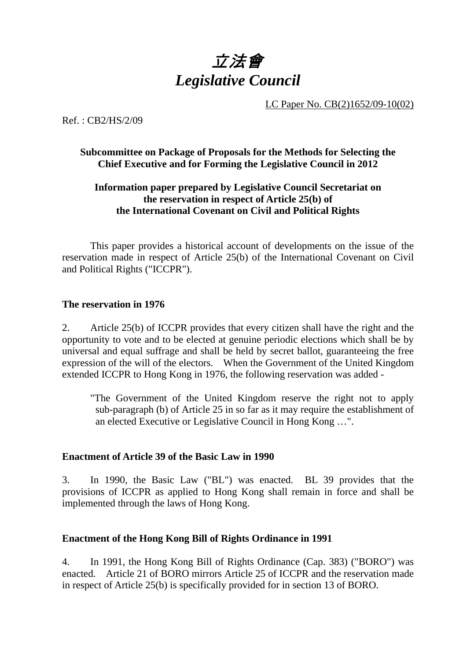

LC Paper No. CB(2)1652/09-10(02)

Ref. : CB2/HS/2/09

### **Subcommittee on Package of Proposals for the Methods for Selecting the Chief Executive and for Forming the Legislative Council in 2012**

## **Information paper prepared by Legislative Council Secretariat on the reservation in respect of Article 25(b) of the International Covenant on Civil and Political Rights**

 This paper provides a historical account of developments on the issue of the reservation made in respect of Article 25(b) of the International Covenant on Civil and Political Rights ("ICCPR").

#### **The reservation in 1976**

2. Article 25(b) of ICCPR provides that every citizen shall have the right and the opportunity to vote and to be elected at genuine periodic elections which shall be by universal and equal suffrage and shall be held by secret ballot, guaranteeing the free expression of the will of the electors. When the Government of the United Kingdom extended ICCPR to Hong Kong in 1976, the following reservation was added -

"The Government of the United Kingdom reserve the right not to apply sub-paragraph (b) of Article 25 in so far as it may require the establishment of an elected Executive or Legislative Council in Hong Kong …".

#### **Enactment of Article 39 of the Basic Law in 1990**

3. In 1990, the Basic Law ("BL") was enacted. BL 39 provides that the provisions of ICCPR as applied to Hong Kong shall remain in force and shall be implemented through the laws of Hong Kong.

#### **Enactment of the Hong Kong Bill of Rights Ordinance in 1991**

4. In 1991, the Hong Kong Bill of Rights Ordinance (Cap. 383) ("BORO") was enacted. Article 21 of BORO mirrors Article 25 of ICCPR and the reservation made in respect of Article 25(b) is specifically provided for in section 13 of BORO.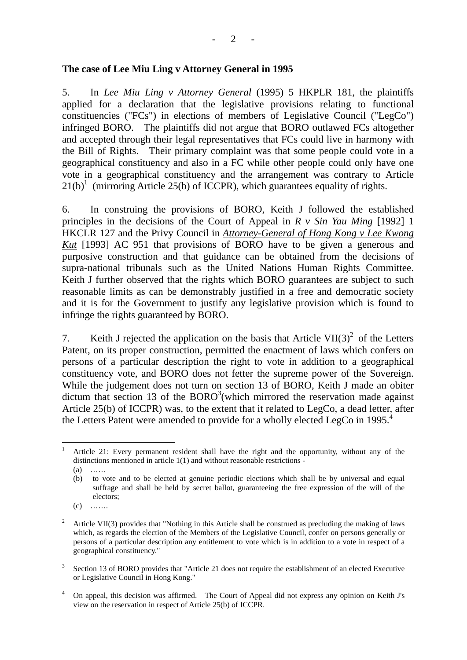#### **The case of Lee Miu Ling v Attorney General in 1995**

5. In *Lee Miu Ling v Attorney General* (1995) 5 HKPLR 181, the plaintiffs applied for a declaration that the legislative provisions relating to functional constituencies ("FCs") in elections of members of Legislative Council ("LegCo") infringed BORO. The plaintiffs did not argue that BORO outlawed FCs altogether and accepted through their legal representatives that FCs could live in harmony with the Bill of Rights. Their primary complaint was that some people could vote in a geographical constituency and also in a FC while other people could only have one vote in a geographical constituency and the arrangement was contrary to Article  $21(b)^1$  (mirroring Article 25(b) of ICCPR), which guarantees equality of rights.

6. In construing the provisions of BORO, Keith J followed the established principles in the decisions of the Court of Appeal in *R v Sin Yau Ming* [1992] 1 HKCLR 127 and the Privy Council in *Attorney-General of Hong Kong v Lee Kwong Kut* [1993] AC 951 that provisions of BORO have to be given a generous and purposive construction and that guidance can be obtained from the decisions of supra-national tribunals such as the United Nations Human Rights Committee. Keith J further observed that the rights which BORO guarantees are subject to such reasonable limits as can be demonstrably justified in a free and democratic society and it is for the Government to justify any legislative provision which is found to infringe the rights guaranteed by BORO.

7. Keith J rejected the application on the basis that Article VII(3)<sup>2</sup> of the Letters Patent, on its proper construction, permitted the enactment of laws which confers on persons of a particular description the right to vote in addition to a geographical constituency vote, and BORO does not fetter the supreme power of the Sovereign. While the judgement does not turn on section 13 of BORO, Keith J made an obiter dictum that section 13 of the  $BORO<sup>3</sup>$  (which mirrored the reservation made against Article 25(b) of ICCPR) was, to the extent that it related to LegCo, a dead letter, after the Letters Patent were amended to provide for a wholly elected LegCo in 1995.<sup>4</sup>

 $(c)$  ……

- 3 Section 13 of BORO provides that "Article 21 does not require the establishment of an elected Executive or Legislative Council in Hong Kong."
- 4 On appeal, this decision was affirmed. The Court of Appeal did not express any opinion on Keith J's view on the reservation in respect of Article 25(b) of ICCPR.

 $\frac{1}{1}$  Article 21: Every permanent resident shall have the right and the opportunity, without any of the distinctions mentioned in article 1(1) and without reasonable restrictions -

 $(a)$ 

<sup>(</sup>b) to vote and to be elected at genuine periodic elections which shall be by universal and equal suffrage and shall be held by secret ballot, guaranteeing the free expression of the will of the electors;

 $2^{\circ}$  Article VII(3) provides that "Nothing in this Article shall be construed as precluding the making of laws which, as regards the election of the Members of the Legislative Council, confer on persons generally or persons of a particular description any entitlement to vote which is in addition to a vote in respect of a geographical constituency."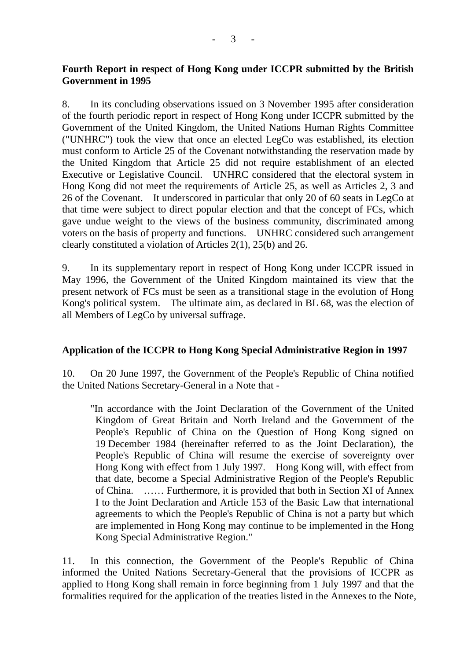## **Fourth Report in respect of Hong Kong under ICCPR submitted by the British Government in 1995**

8. In its concluding observations issued on 3 November 1995 after consideration of the fourth periodic report in respect of Hong Kong under ICCPR submitted by the Government of the United Kingdom, the United Nations Human Rights Committee ("UNHRC") took the view that once an elected LegCo was established, its election must conform to Article 25 of the Covenant notwithstanding the reservation made by the United Kingdom that Article 25 did not require establishment of an elected Executive or Legislative Council. UNHRC considered that the electoral system in Hong Kong did not meet the requirements of Article 25, as well as Articles 2, 3 and 26 of the Covenant. It underscored in particular that only 20 of 60 seats in LegCo at that time were subject to direct popular election and that the concept of FCs, which gave undue weight to the views of the business community, discriminated among voters on the basis of property and functions. UNHRC considered such arrangement clearly constituted a violation of Articles 2(1), 25(b) and 26.

9. In its supplementary report in respect of Hong Kong under ICCPR issued in May 1996, the Government of the United Kingdom maintained its view that the present network of FCs must be seen as a transitional stage in the evolution of Hong Kong's political system. The ultimate aim, as declared in BL 68, was the election of all Members of LegCo by universal suffrage.

## **Application of the ICCPR to Hong Kong Special Administrative Region in 1997**

10. On 20 June 1997, the Government of the People's Republic of China notified the United Nations Secretary-General in a Note that -

"In accordance with the Joint Declaration of the Government of the United Kingdom of Great Britain and North Ireland and the Government of the People's Republic of China on the Question of Hong Kong signed on 19 December 1984 (hereinafter referred to as the Joint Declaration), the People's Republic of China will resume the exercise of sovereignty over Hong Kong with effect from 1 July 1997. Hong Kong will, with effect from that date, become a Special Administrative Region of the People's Republic of China. …… Furthermore, it is provided that both in Section XI of Annex I to the Joint Declaration and Article 153 of the Basic Law that international agreements to which the People's Republic of China is not a party but which are implemented in Hong Kong may continue to be implemented in the Hong Kong Special Administrative Region."

11. In this connection, the Government of the People's Republic of China informed the United Nations Secretary-General that the provisions of ICCPR as applied to Hong Kong shall remain in force beginning from 1 July 1997 and that the formalities required for the application of the treaties listed in the Annexes to the Note,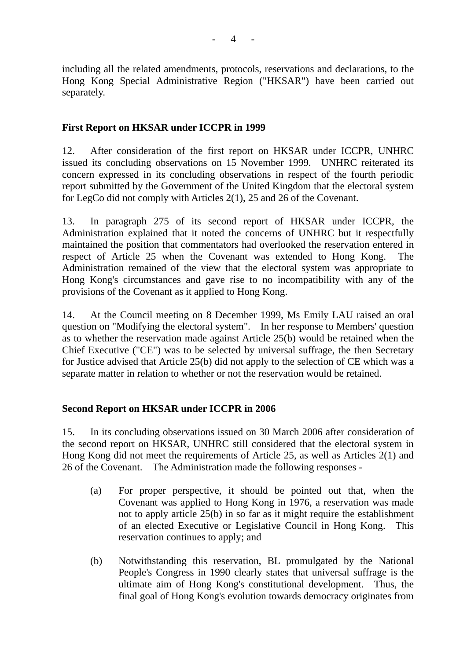including all the related amendments, protocols, reservations and declarations, to the Hong Kong Special Administrative Region ("HKSAR") have been carried out separately.

## **First Report on HKSAR under ICCPR in 1999**

12. After consideration of the first report on HKSAR under ICCPR, UNHRC issued its concluding observations on 15 November 1999. UNHRC reiterated its concern expressed in its concluding observations in respect of the fourth periodic report submitted by the Government of the United Kingdom that the electoral system for LegCo did not comply with Articles 2(1), 25 and 26 of the Covenant.

13. In paragraph 275 of its second report of HKSAR under ICCPR, the Administration explained that it noted the concerns of UNHRC but it respectfully maintained the position that commentators had overlooked the reservation entered in respect of Article 25 when the Covenant was extended to Hong Kong. The Administration remained of the view that the electoral system was appropriate to Hong Kong's circumstances and gave rise to no incompatibility with any of the provisions of the Covenant as it applied to Hong Kong.

14. At the Council meeting on 8 December 1999, Ms Emily LAU raised an oral question on "Modifying the electoral system". In her response to Members' question as to whether the reservation made against Article 25(b) would be retained when the Chief Executive ("CE") was to be selected by universal suffrage, the then Secretary for Justice advised that Article 25(b) did not apply to the selection of CE which was a separate matter in relation to whether or not the reservation would be retained.

## **Second Report on HKSAR under ICCPR in 2006**

15. In its concluding observations issued on 30 March 2006 after consideration of the second report on HKSAR, UNHRC still considered that the electoral system in Hong Kong did not meet the requirements of Article 25, as well as Articles 2(1) and 26 of the Covenant. The Administration made the following responses -

- (a) For proper perspective, it should be pointed out that, when the Covenant was applied to Hong Kong in 1976, a reservation was made not to apply article 25(b) in so far as it might require the establishment of an elected Executive or Legislative Council in Hong Kong. This reservation continues to apply; and
- (b) Notwithstanding this reservation, BL promulgated by the National People's Congress in 1990 clearly states that universal suffrage is the ultimate aim of Hong Kong's constitutional development. Thus, the final goal of Hong Kong's evolution towards democracy originates from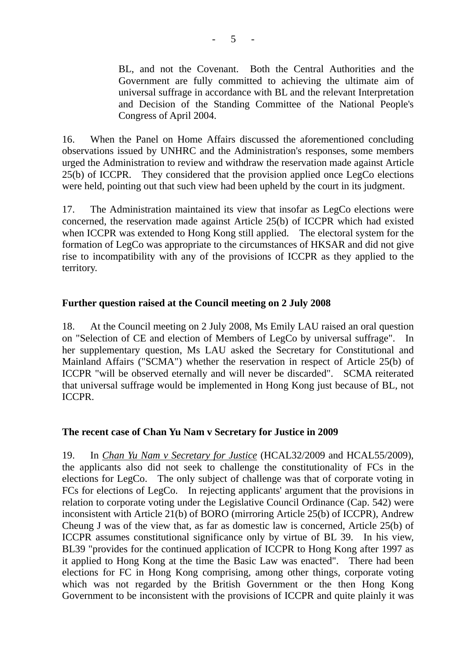BL, and not the Covenant. Both the Central Authorities and the Government are fully committed to achieving the ultimate aim of universal suffrage in accordance with BL and the relevant Interpretation and Decision of the Standing Committee of the National People's Congress of April 2004.

16. When the Panel on Home Affairs discussed the aforementioned concluding observations issued by UNHRC and the Administration's responses, some members urged the Administration to review and withdraw the reservation made against Article 25(b) of ICCPR. They considered that the provision applied once LegCo elections were held, pointing out that such view had been upheld by the court in its judgment.

17. The Administration maintained its view that insofar as LegCo elections were concerned, the reservation made against Article 25(b) of ICCPR which had existed when ICCPR was extended to Hong Kong still applied. The electoral system for the formation of LegCo was appropriate to the circumstances of HKSAR and did not give rise to incompatibility with any of the provisions of ICCPR as they applied to the territory.

## **Further question raised at the Council meeting on 2 July 2008**

18. At the Council meeting on 2 July 2008, Ms Emily LAU raised an oral question on "Selection of CE and election of Members of LegCo by universal suffrage". In her supplementary question, Ms LAU asked the Secretary for Constitutional and Mainland Affairs ("SCMA") whether the reservation in respect of Article 25(b) of ICCPR "will be observed eternally and will never be discarded". SCMA reiterated that universal suffrage would be implemented in Hong Kong just because of BL, not ICCPR.

## **The recent case of Chan Yu Nam v Secretary for Justice in 2009**

19. In *Chan Yu Nam v Secretary for Justice* (HCAL32/2009 and HCAL55/2009), the applicants also did not seek to challenge the constitutionality of FCs in the elections for LegCo. The only subject of challenge was that of corporate voting in FCs for elections of LegCo. In rejecting applicants' argument that the provisions in relation to corporate voting under the Legislative Council Ordinance (Cap. 542) were inconsistent with Article 21(b) of BORO (mirroring Article 25(b) of ICCPR), Andrew Cheung J was of the view that, as far as domestic law is concerned, Article 25(b) of ICCPR assumes constitutional significance only by virtue of BL 39. In his view, BL39 "provides for the continued application of ICCPR to Hong Kong after 1997 as it applied to Hong Kong at the time the Basic Law was enacted". There had been elections for FC in Hong Kong comprising, among other things, corporate voting which was not regarded by the British Government or the then Hong Kong Government to be inconsistent with the provisions of ICCPR and quite plainly it was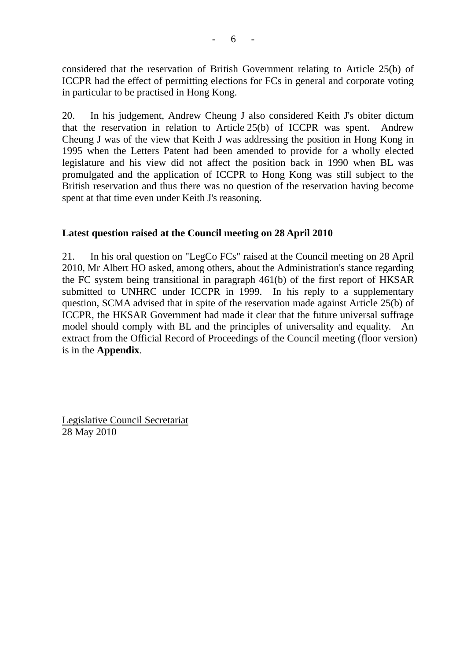considered that the reservation of British Government relating to Article 25(b) of ICCPR had the effect of permitting elections for FCs in general and corporate voting in particular to be practised in Hong Kong.

20. In his judgement, Andrew Cheung J also considered Keith J's obiter dictum that the reservation in relation to Article 25(b) of ICCPR was spent. Andrew Cheung J was of the view that Keith J was addressing the position in Hong Kong in 1995 when the Letters Patent had been amended to provide for a wholly elected legislature and his view did not affect the position back in 1990 when BL was promulgated and the application of ICCPR to Hong Kong was still subject to the British reservation and thus there was no question of the reservation having become spent at that time even under Keith J's reasoning.

#### **Latest question raised at the Council meeting on 28 April 2010**

21. In his oral question on "LegCo FCs" raised at the Council meeting on 28 April 2010, Mr Albert HO asked, among others, about the Administration's stance regarding the FC system being transitional in paragraph 461(b) of the first report of HKSAR submitted to UNHRC under ICCPR in 1999. In his reply to a supplementary question, SCMA advised that in spite of the reservation made against Article 25(b) of ICCPR, the HKSAR Government had made it clear that the future universal suffrage model should comply with BL and the principles of universality and equality. An extract from the Official Record of Proceedings of the Council meeting (floor version) is in the **Appendix**.

Legislative Council Secretariat 28 May 2010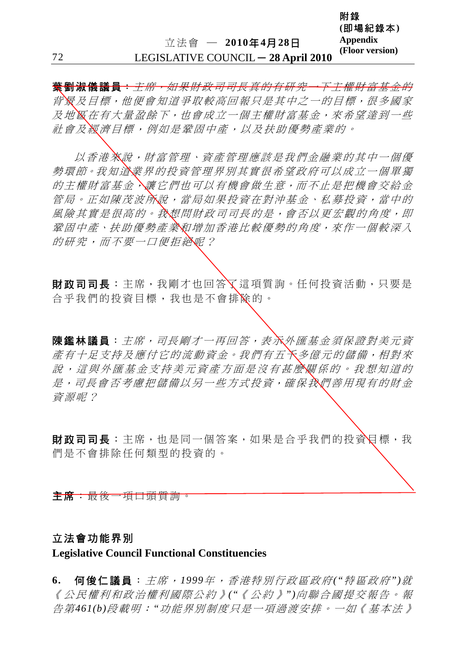附錄

**(**即場紀錄本**)** 

**葉劉淑儀議員**: 主席, 如果財政司司長真的有研究一下主權財富基金的 背景及目標,他便會知道爭取較高回報只是其中之一的目標,很多國家 及地區在有大量盈餘下,也會成立一個主權財富基金,來希望達到一些 社會及經濟目標,例如是鞏固中產,以及扶助優勢產業的。

以香港來說,財富管理、資產管理應該是我們金融業的其中一個優 勢環節。我知道業界的投資管理界別其實很希望政府可以成立一個單獨 的主權財富基金,讓它們也可以有機會做生意,而不止是把機會交給金 管局。正如陳茂波所說,當局如果投資在對沖基金、私募投資,當中的 風險其實是很高的。我想問財政司司長的是,會否以更宏觀的角度,即 鞏固中產、扶助優勢產業和增加香港比較優勢的角度,來作一個較深入 的研究,而不要一口便拒絕呢?

財政司司長︰主席,我剛才也回答了這項質詢。任何投資活動,只要是 合乎我們的投資目標,我也是不會排除的。

陳鑑林議員:主席,司長剛才一再回答,表示外匯基金須保證對美元資 產有十足支持及應付它的流動資金。我們有五千多億元的儲備,相對來 說,這與外匯基金支持美元資產方面是沒有甚麼關係的。我想知道的 是,司長會否考慮把儲備以另一些方式投資,確保我們善用現有的財金 資源呢?

財政司司長︰主席,也是同一個答案,如果是合乎我們的投資目標,我 們是不會排除任何類型的投資的。

主席:最後一項口頭質詢。

#### 立法會功能界別

#### **Legislative Council Functional Constituencies**

**6.** 何俊仁議員:主席,*1999*年,香港特別行政區政府*("*特區政府*")*就 《公民權利和政治權利國際公約》*("*《公約》*")*向聯合國提交報告。報 告第*461(b)*段載明:*"*功能界別制度只是一項過渡安排。一如《基本法》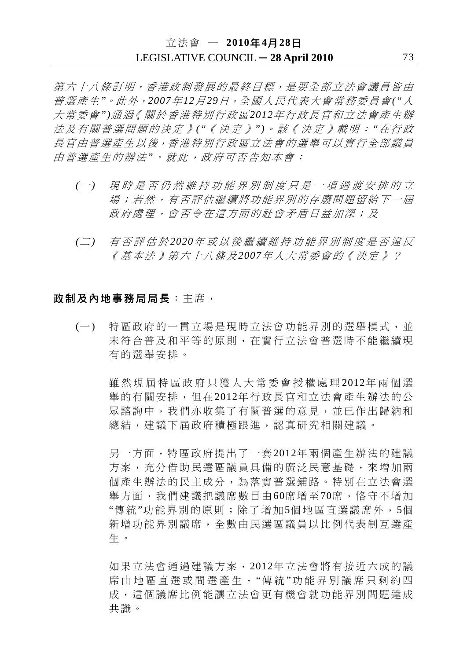第六十八條訂明,香港政制發展的最終目標,是要全部立法會議員皆由 普選產生*"*。此外,*2007*年*12*月*29*日,全國人民代表大會常務委員會*("*人 大常委會*")*通過《關於香港特別行政區*2012*年行政長官和立法會產生辦 法及有關普選問題的決定》*("*《決定》*")*。該《決定》載明:*"*在行政 長官由普選產生以後,香港特別行政區立法會的選舉可以實行全部議員 由普選產生的辦法*"*。就此,政府可否告知本會:

- *(*一*)* 現時是否仍然維持功能界別制度只是一項過渡安排的立 場;若然,有否評估繼續將功能界別的存廢問題留給下一屆 政府處理,會否令在這方面的社會矛盾日益加深;及
- *(*二*)* 有否評估於 *2020*年或以後繼續維持功能界別制度是否違反 《基本法》第六十八條及*2007*年人大常委會的《決定》?

#### 政制及內地事務局局長:主席,

(一) 特區政府的一貫立場是現時立法會功能界別的選舉模式,並 未符合普及和平等的原則,在實行立法會普選時不能繼續現 有的選舉安排。

雖然現屆特區政府只獲人大常委會授權處理 2012年兩個選 舉的有關安排,但在2012年行政長官和立法會產生辦法的公 眾諮詢中,我們亦收集了有關普選的意見,並已作出歸納和 總結,建議下屆政府積極跟進,認真研究相關建議。

另一方面,特區政府提出了一套2012年兩個產生辦法的建議 方案,充分借助民選區議員具備的廣泛民意基礎,來增加兩 個產生辦法的民主成分,為落實普選鋪路。特別在立法會選 舉方面,我們建議把議席數目由60席增至70席,恪守不增加 "傳統"功能界別的原則;除了增加5個地區直選議席外,5個 新增功能界別議席,全數由民選區議員以比例代表制互選產 生。

如果立法會通過建議方案,2012年立法會將有接近六成的議 席由地區直選或間選產生, "傳統"功能界別議席只剩約四 成,這個議席比例能讓立法會更有機會就功能界別問題達成 共識。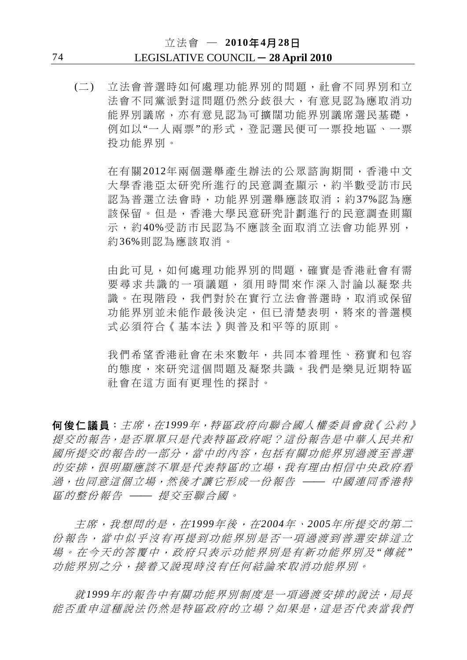# 立法會 ─ **2010**年**4**月**28**日 74 LEGISLATIVE COUNCIL ─ **28 April 2010**

(二) 立法會普選時如何處理功能界別的問題,社會不同界別和立 法會不同黨派對這問題仍然分歧很大,有意見認為應取消功 能界別議席,亦有意見認為可擴闊功能界別議席選民基礎, 例如以"一人兩票"的形式,登記選民便可一票投地區、一票 投功能界別。

在有關2012年兩個選舉產生辦法的公眾諮詢期間,香港中文 大學香港亞太研究所進行的民意調查顯示,約半數受訪市民 認為普選立法會時,功能界別選舉應該取消;約37%認為應 該保留。但是,香港大學民意研究計劃進行的民意調查則顯 示,約40%受訪市民認為不應該全面取消立法會功能界別, 約36%則認為應該取消。

由此可見,如何處理功能界別的問題,確實是香港社會有需 要尋求共識的一項議題,須用時間來作深入討論以凝聚共 識。在現階段,我們對於在實行立法會普選時,取消或保留 功能界別並未能作最後決定,但已清楚表明,將來的普選模 式必須符合《基本法》與普及和平等的原則。

我們希望香港社會在未來數年,共同本着理性、務實和包容 的態度,來研究這個問題及凝聚共識。我們是樂見沂期特區 社會在這方面有更理性的探討。

何俊仁議員:主席,在*1999*年,特區政府向聯合國人權委員會就《公約》 提交的報告,是否單單只是代表特區政府呢?這份報告是中華人民共和 國所提交的報告的一部分,當中的內容,包括有關功能界別過渡至普選 的安排,很明顯應該不單是代表特區的立場,我有理由相信中央政府看 過,也同意這個立場,然後才讓它形成一份報告 –– 中國連同香港特 區的整份報告 –– 提交至聯合國。

主席,我想問的是,在*1999*年後,在*2004*年、*2005*年所提交的第二 份報告,當中似乎沒有再提到功能界別是否一項過渡到普選安排這立 場。在今天的答覆中,政府只表示功能界別是有新功能界別及 *"*傳 統 *"* 功能界別之分,接着又說現時沒有任何結論來取消功能界別。

就*1999*年的報告中有關功能界別制度是一項過渡安排的說法,局長 能否重申這種說法仍然是特區政府的立場?如果是,這是否代表當我們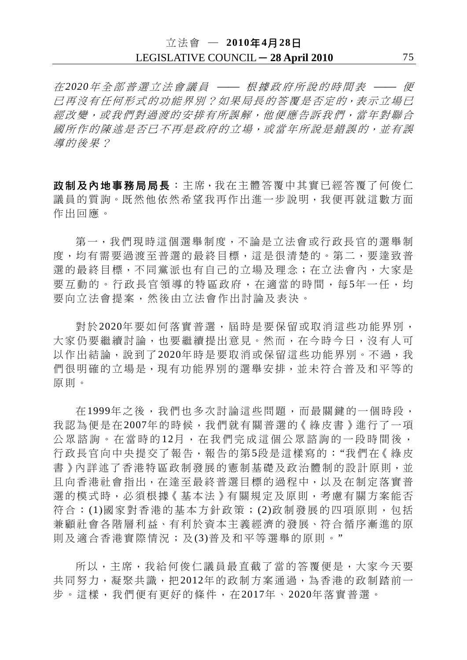# 立法會 ─ **2010**年**4**月**28**日 LEGISLATIVE COUNCIL ─ **28 April 2010** 75

在 2020年全部普選立法會議員 —— 根據政府所說的時間表 —— 便 已再沒有任何形式的功能界別?如果局長的答覆是否定的,表示立場已 經改變,或我們對過渡的安排有所誤解,他便應告訴我們,當年對聯合 國所作的陳述是否已不再是政府的立場,或當年所說是錯誤的,並有誤 導的後果?

政制及內地事務局局長︰主席,我在主體答覆中其實已經答覆了何俊仁 議員的質詢。既然他依然希望我再作出進一步說明,我便再就這數方面 作出回應。

第一,我們現時這個選舉制度,不論是立法會或行政長官的選舉制 度,均有需要過渡至普選的最終目標,這是很清楚的。第二,要達致普 選的最終目標,不同黨派也有自己的立場及理念;在立法會內,大家是 要互動的。行政長官領導的特區政府,在適當的時間,每5年一任,均 要向立法會提案,然後由立法會作出討論及表決。

對於2020年要如何落實普選,屆時是要保留或取消這些功能界別, 大家仍要繼續討論,也要繼續提出意見。然而, 在今時今日, 沒有人可 以作出結論,說到了2020年時是要取消或保留這些功能界別。不過,我 們很明確的立場是,現有功能界別的選舉安排,並未符合普及和平等的 原則。

在1999年之後,我們也多次討論這些問題,而最關鍵的一個時段, 我認為便是在2007年的時候,我們就有關普選的《綠皮書》進行了一項 公眾諮詢。在當時的12月,在我們完成這個公眾諮詢的一段時間後, 行政長官向中央提交了報告,報告的第5段是這樣寫的︰"我們在《綠皮 書》內詳述了香港特區政制發展的憲制基礎及政治體制的設計原則,並 且向香港社會指出,在達至最終普選目標的過程中,以及在制定落實普 選的模式時,必須根據《基本法》有關規定及原則,考慮有關方案能否 符合:(1)國家對香港的基本方針政策;(2)政制發展的四項原則, 包括 兼顧社會各階層利益、有利於資本主義經濟的發展、符合循序漸進的原 則及適合香港實際情況;及(3)普及和平等選舉的原則。"

所以,主席,我給何俊仁議員最直截了當的答覆便是,大家今天要 共同努力,凝聚共識,把2012年的政制方案通過,為香港的政制踏前一 步。這樣,我們便有更好的條件,在2017年、2020年落實普選。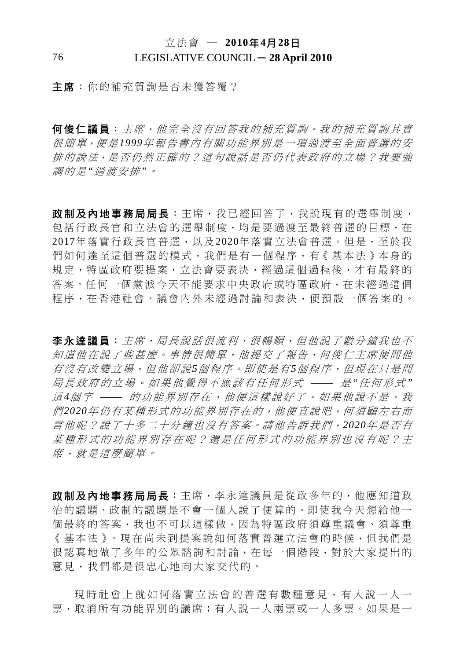主席:你的補充質詢是否未獲答覆?

何俊仁議員:主席,他完全沒有回答我的補充質詢。我的補充質詢其實 很簡單,便是*1999*年報告書內有關功能界別是一項過渡至全面普選的安 排的說法,是否仍然正確的?這句說話是否仍代表政府的立場?我要強 調的是*"*過渡安排*"*。

政制及內地事務局局長:主席,我已經回答了,我說現有的選舉制度, 包括行政長官和立法會的選舉制度,均是要過渡至最終普選的目標,在 2017年落實行政長官普選,以及2020年落實立法會普選。但是,至於我 們如何達至這個普選的模式,我們是有一個程序,有《基本法》本身的 規定,特區政府要提案,立法會要表決,經過這個過程後,才有最終的 答案。任何一個黨派今天不能要求中央政府或特區政府,在未經過這個 程序,在香港社會、議會內外未經過討論和表決,便預設一個答案的。

李永達議員:主席,局長說話很流利、很暢順,但他說了數分鐘我也不 知道他在說了些甚麼。事情很簡單,他提交了報告,何俊仁主席便問他 有沒有改變立場,但他卻說*5*個程序。即使是有*5*個程序,但現在只是問 局長政府的立場。如果他覺得不應該有任何形式 ⎯⎯ 是 *"*任何形式 *"* 這4個字 —— 的功能界別存在,他便這樣說好了。如果他說不是,我 們*2020*年仍有某種形式的功能界別存在的,他便直說吧,何須顧左右而 言他呢?說了十多二十分鐘也沒有答案。請他告訴我們,*2020*年是否有 某種形式的功能界別存在呢?還是任何形式的功能界別也沒有呢?主 席,就是這麼簡單。

政制及內地事務局局長:主席,李永達議員是從政多年的,他應知道政 治的議題、政制的議題是不會一個人說了便算的。即使我今天想給他一 個最終的答案,我也不可以這樣做,因為特區政府須尊重議會、須尊重 《基本法》。現在尚未到提案說如何落實普選立法會的時候,但我們是 很認真地做了多年的公眾諮詢和討論,在每一個階段,對於大家提出的 意見,我們都是很忠心地向大家交代的。

現時社會上就如何落實立法會的普選有數種意見,有人說一人一 票,取消所有功能界別的議席;有人說一人兩票或一人多票。如果是一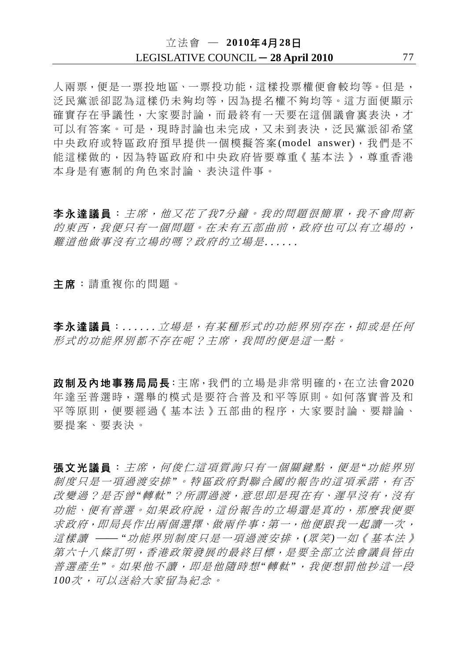人兩票,便是一票投地區、一票投功能,這樣投票權便會較均等。但是, 泛民黨派卻認為這樣仍未夠均等,因為提名權不夠均等。這方面便顯示 確實存在爭議性,大家要討論,而最終有一天要在這個議會裏表決,才 可以有答案。可是,現時討論也未完成,又未到表決,泛民黨派卻希望 中央政府或特區政府預早提供一個模擬答案(model answer),我們是不 能這樣做的,因為特區政府和中央政府皆要尊重《基本法》,尊重香港 本身是有憲制的角色來討論、表決這件事。

李永達議員:主席,他又花了我*7*分鐘。我的問題很簡單,我不會問新 的東西,我便只有一個問題。在未有五部曲前,政府也可以有立場的, 難道他做事沒有立場的嗎?政府的立場是......

主席:請重複你的問題。

李永達議員:......立場是,有某種形式的功能界別存在,抑或是任何 形式的功能界別都不存在呢?主席,我問的便是這一點。

政制及內地事務局局長:主席,我們的立場是非常明確的,在立法會2020 年達至普選時,選舉的模式是要符合普及和平等原則。如何落實普及和 平等原則,便要經過《基本法》五部曲的程序,大家要討論、要辯論、 要提案、要表決。

張文光議員:主席,何俊仁這項質詢只有一個關鍵點,便是*"*功能界別 制度只是一項過渡安排*"*。特區政府對聯合國的報告的這項承諾,有否 改變過?是否曾*"*轉軚*"*?所謂過渡,意思即是現在有、遲早沒有,沒有 功能、便有普選。如果政府說,這份報告的立場還是真的,那麼我便要 求政府,即局長作出兩個選擇、做兩件事:第一,他便跟我一起讀一次, 這樣讀 ⎯⎯ *"*功能界別制度只是一項過渡安排,*(*眾笑*)*一如《基本法》 第六十八條訂明,香港政策發展的最終目標,是要全部立法會議員皆由 普選產生"。如果他不讀,即是他隨時想"轉軚",我便想罰他抄這一段 *100*次,可以送給大家留為紀念。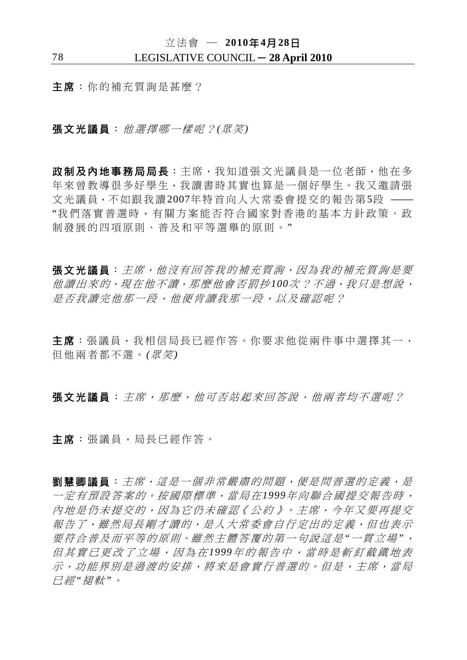立法會 ─ **2010**年**4**月**28**日

## 78 LEGISLATIVE COUNCIL ─ **28 April 2010**

主席:你的補充質詢是甚麼?

張文光議員:他選擇哪一樣呢?*(*眾笑*)*

政制及內地事務局局長:主席,我知道張文光議員是一位老師,他在多 年來曾教導很多好學生,我讀書時其實也算是一個好學生。我又邀請張 文光議員,不如跟我讀2007年特首向人大常委會提交的報告第5段 —— "我們落實普選時,有關方案能否符合國家對 香港的基本方針政策、政 制發展的四項原則、普及和平等選舉的原則。"

張文光議員:主席,他沒有回答我的補充質詢,因為我的補充質詢是要 他讀出來的,現在他不讀,那麼他會否罰抄*100*次?不過,我只是想說, 是否我讀完他那一段,他便肯讀我那一段,以及確認呢?

主席:張議員,我相信局長已經作答。你要求他從兩件事中選擇其一, 但他兩者都不選。*(*眾笑*)*

張文光議員: 主席, 那麼, 他可否站起來回答說, 他兩者均不選呢?

主席:張議員,局長已經作答。

**劉慧卿議員:**主席,這是一個非常嚴肅的問題,便是問普選的定義,是 一定有預設答案的。按國際標準,當局在*1999*年向聯合國提交報告時, 內地是仍未提交的,因為它仍未確認《公約》。主席,今年又要再提交 報告了,雖然局長剛才讀的,是人大常委會自行定出的定義,但也表示 要符合普及而平等的原則。雖然主體答覆的第一句說這是*"*一貫立場*"*, 但其實已更改了立場,因為在 *1999*年的報告中,當時是斬釘截鐵地表 示,功能界別是過渡的安排,將來是會實行普選的。但是,主席,當局 已經*"*褪軚*"*。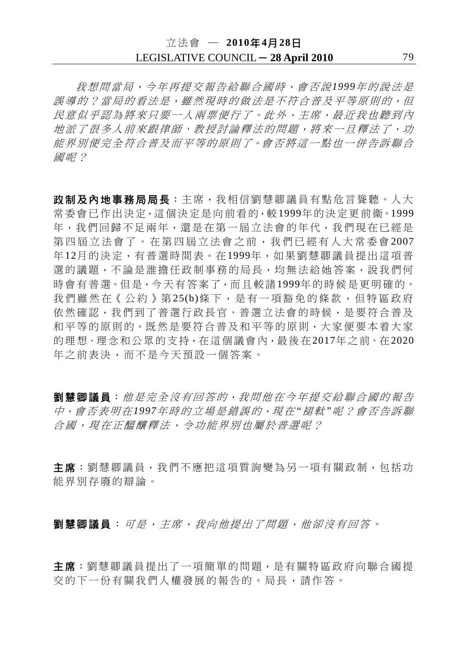# 立法會 ─ **2010**年**4**月**28**日 LEGISLATIVE COUNCIL - 28 April 2010 79

我想問當局,今年再提交報告給聯合國時,會否說*1999*年的說法是 誤導的?當局的看法是,雖然現時的做法是不符合普及平等原則的,但 民意似乎認為將來只要一人兩票便行了。此外,主席,最近我也聽到內 地派了很多人前來跟律師、教授討論釋法的問題,將來一旦釋法了,功 能界別便完全符合普及而平等的原則了。會否將這一點也一併告訴聯合 國呢?

政制及內地事務局局長:主席,我相信劉慧卿議員有點危言聳聽。人大 常委會已作出決定,這個決定是向前看的,較1999年的決定更前衞。1999 年,我們回歸不足兩年,還是在第一屆立法會的年代,我們現在已經是 第四屆立法會了。在第四屆立法會之前,我們已經有人大常委會 2007 年12月的決定,有普選時間表。在1999年,如果劉慧卿議員提出這項普 選的議題,不論是誰擔任政制事務的局長,均無法給她答案,說我們何 時會有普選。但是,今天有答案了,而且較諸1999年的時候是更明確的。 我們雖然在《公約》第25(b)條下,是有一項豁免的條款,但特區政府 依然確認,我們到了普選行政長官、普選立法會的時候,是要符合普及 和平等的原則的。既然是要符合普及和平等的原則,大家便要本着大家 的理想、理念和公眾的支持,在這個議會內,最後在2017年之前、在2020 年之前表決,而不是今天預設一個答案。

劉慧卿議員:他是完全沒有回答的,我問他在今年提交給聯合國的報告 中,會否表明在*1997*年時的立場是錯誤的,現在*"*褪軚*"*呢?會否告訴聯 合國,現在正醞釀釋法,令功能界別也屬於普選呢?

主席:劉慧卿議員,我們不應把這項質詢變為另一項有關政制,包括功 能界別存廢的辯論。

别慧卿議員:可是,主席,我向他提出了問題,他卻沒有回答。

主席:劉慧卿議員提出了一項簡單的問題,是有關特區政府向聯合國提 交的下一份有關我們人權發展的報告的。局長,請作答。